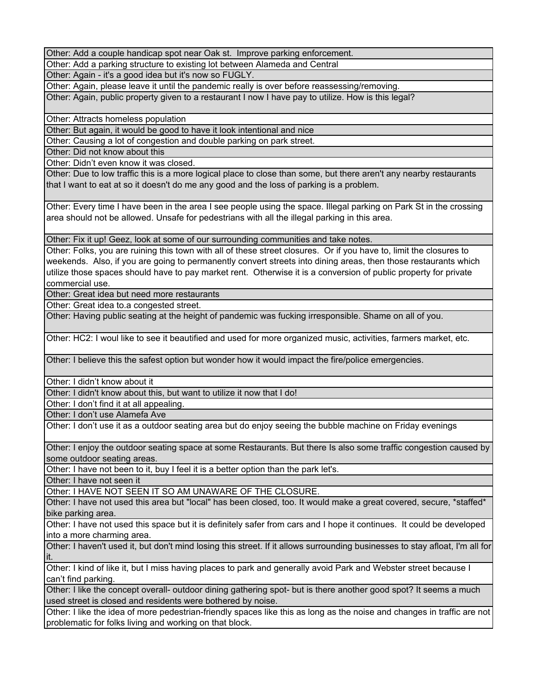## Question 5 Comments: Alameda Avenue street closure

Other: Add a couple handicap spot near Oak st. Improve parking enforcement.

Other: Add a parking structure to existing lot between Alameda and Central

Other: Again - it's a good idea but it's now so FUGLY.

Other: Again, please leave it until the pandemic really is over before reassessing/removing.

Other: Again, public property given to a restaurant I now I have pay to utilize. How is this legal?

Other: Attracts homeless population

Other: But again, it would be good to have it look intentional and nice

Other: Causing a lot of congestion and double parking on park street.

Other: Did not know about this

Other: Didn't even know it was closed.

Other: Due to low traffic this is a more logical place to close than some, but there aren't any nearby restaurants that I want to eat at so it doesn't do me any good and the loss of parking is a problem.

Other: Every time I have been in the area I see people using the space. Illegal parking on Park St in the crossing area should not be allowed. Unsafe for pedestrians with all the illegal parking in this area.

Other: Fix it up! Geez, look at some of our surrounding communities and take notes.

Other: Folks, you are ruining this town with all of these street closures. Or if you have to, limit the closures to weekends. Also, if you are going to permanently convert streets into dining areas, then those restaurants which utilize those spaces should have to pay market rent. Otherwise it is a conversion of public property for private commercial use.

Other: Great idea but need more restaurants

Other: Great idea to.a congested street.

Other: Having public seating at the height of pandemic was fucking irresponsible. Shame on all of you.

Other: HC2: I woul like to see it beautified and used for more organized music, activities, farmers market, etc.

Other: I believe this the safest option but wonder how it would impact the fire/police emergencies.

Other: I didn't know about it

Other: I didn't know about this, but want to utilize it now that I do!

Other: I don't find it at all appealing.

Other: I don't use Alamefa Ave

Other: I don't use it as a outdoor seating area but do enjoy seeing the bubble machine on Friday evenings

Other: I enjoy the outdoor seating space at some Restaurants. But there Is also some traffic congestion caused by some outdoor seating areas.

Other: I have not been to it, buy I feel it is a better option than the park let's.

Other: I have not seen it

Other: I HAVE NOT SEEN IT SO AM UNAWARE OF THE CLOSURE.

Other: I have not used this area but "local" has been closed, too. It would make a great covered, secure, \*staffed\* bike parking area.

Other: I have not used this space but it is definitely safer from cars and I hope it continues. It could be developed into a more charming area.

Other: I haven't used it, but don't mind losing this street. If it allows surrounding businesses to stay afloat, I'm all for it.

Other: I kind of like it, but I miss having places to park and generally avoid Park and Webster street because I can't find parking.

Other: I like the concept overall- outdoor dining gathering spot- but is there another good spot? It seems a much used street is closed and residents were bothered by noise.

Other: I like the idea of more pedestrian-friendly spaces like this as long as the noise and changes in traffic are not problematic for folks living and working on that block.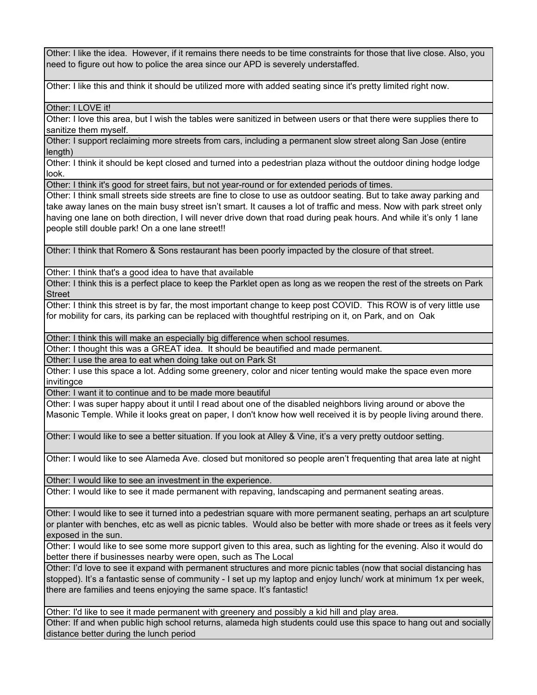Other: I like the idea. However, if it remains there needs to be time constraints for those that live close. Also, you need to figure out how to police the area since our APD is severely understaffed.

Other: I like this and think it should be utilized more with added seating since it's pretty limited right now.

Other: I LOVE it!

Other: I love this area, but I wish the tables were sanitized in between users or that there were supplies there to sanitize them myself.

Other: I support reclaiming more streets from cars, including a permanent slow street along San Jose (entire length)

Other: I think it should be kept closed and turned into a pedestrian plaza without the outdoor dining hodge lodge look.

Other: I think it's good for street fairs, but not year-round or for extended periods of times.

Other: I think small streets side streets are fine to close to use as outdoor seating. But to take away parking and take away lanes on the main busy street isn't smart. It causes a lot of traffic and mess. Now with park street only having one lane on both direction, I will never drive down that road during peak hours. And while it's only 1 lane people still double park! On a one lane street!!

Other: I think that Romero & Sons restaurant has been poorly impacted by the closure of that street.

Other: I think that's a good idea to have that available

Other: I think this is a perfect place to keep the Parklet open as long as we reopen the rest of the streets on Park **Street** 

Other: I think this street is by far, the most important change to keep post COVID. This ROW is of very little use for mobility for cars, its parking can be replaced with thoughtful restriping on it, on Park, and on Oak

Other: I think this will make an especially big difference when school resumes.

Other: I thought this was a GREAT idea. It should be beautified and made permanent.

Other: I use the area to eat when doing take out on Park St

Other: I use this space a lot. Adding some greenery, color and nicer tenting would make the space even more invitingce

Other: I want it to continue and to be made more beautiful

Other: I was super happy about it until I read about one of the disabled neighbors living around or above the Masonic Temple. While it looks great on paper, I don't know how well received it is by people living around there.

Other: I would like to see a better situation. If you look at Alley & Vine, it's a very pretty outdoor setting.

Other: I would like to see Alameda Ave. closed but monitored so people aren't frequenting that area late at night

Other: I would like to see an investment in the experience.

Other: I would like to see it made permanent with repaving, landscaping and permanent seating areas.

Other: I would like to see it turned into a pedestrian square with more permanent seating, perhaps an art sculpture or planter with benches, etc as well as picnic tables. Would also be better with more shade or trees as it feels very exposed in the sun.

Other: I would like to see some more support given to this area, such as lighting for the evening. Also it would do better there if businesses nearby were open, such as The Local

Other: I'd love to see it expand with permanent structures and more picnic tables (now that social distancing has stopped). It's a fantastic sense of community - I set up my laptop and enjoy lunch/ work at minimum 1x per week, there are families and teens enjoying the same space. It's fantastic!

Other: I'd like to see it made permanent with greenery and possibly a kid hill and play area.

Other: If and when public high school returns, alameda high students could use this space to hang out and socially distance better during the lunch period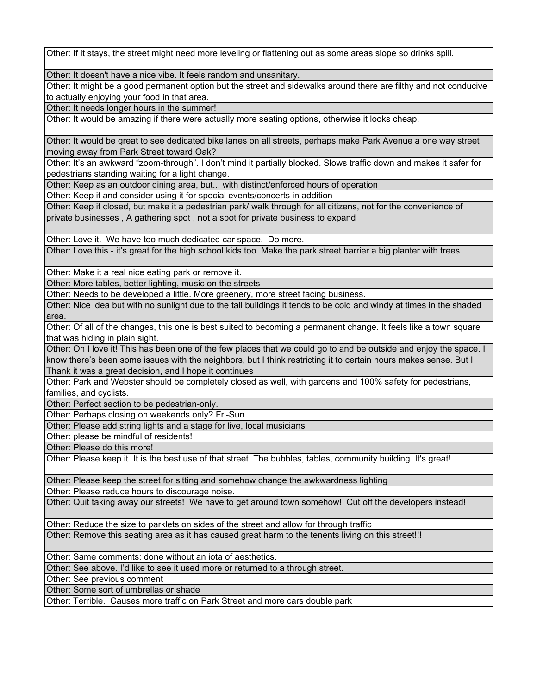Other: If it stays, the street might need more leveling or flattening out as some areas slope so drinks spill.

Other: It doesn't have a nice vibe. It feels random and unsanitary.

Other: It might be a good permanent option but the street and sidewalks around there are filthy and not conducive to actually enjoying your food in that area.

Other: It needs longer hours in the summer!

Other: It would be amazing if there were actually more seating options, otherwise it looks cheap.

Other: It would be great to see dedicated bike lanes on all streets, perhaps make Park Avenue a one way street moving away from Park Street toward Oak?

Other: It's an awkward "zoom-through". I don't mind it partially blocked. Slows traffic down and makes it safer for pedestrians standing waiting for a light change.

Other: Keep as an outdoor dining area, but... with distinct/enforced hours of operation

Other: Keep it and consider using it for special events/concerts in addition

Other: Keep it closed, but make it a pedestrian park/ walk through for all citizens, not for the convenience of private businesses , A gathering spot , not a spot for private business to expand

Other: Love it. We have too much dedicated car space. Do more.

Other: Love this - it's great for the high school kids too. Make the park street barrier a big planter with trees

Other: Make it a real nice eating park or remove it.

Other: More tables, better lighting, music on the streets

Other: Needs to be developed a little. More greenery, more street facing business.

Other: Nice idea but with no sunlight due to the tall buildings it tends to be cold and windy at times in the shaded area.

Other: Of all of the changes, this one is best suited to becoming a permanent change. It feels like a town square that was hiding in plain sight.

Other: Oh I love it! This has been one of the few places that we could go to and be outside and enjoy the space. I know there's been some issues with the neighbors, but I think restricting it to certain hours makes sense. But I Thank it was a great decision, and I hope it continues

Other: Park and Webster should be completely closed as well, with gardens and 100% safety for pedestrians, families, and cyclists.

Other: Perfect section to be pedestrian-only.

Other: Perhaps closing on weekends only? Fri-Sun.

Other: Please add string lights and a stage for live, local musicians

Other: please be mindful of residents!

Other: Please do this more!

Other: Please keep it. It is the best use of that street. The bubbles, tables, community building. It's great!

Other: Please keep the street for sitting and somehow change the awkwardness lighting

Other: Please reduce hours to discourage noise.

Other: Quit taking away our streets! We have to get around town somehow! Cut off the developers instead!

Other: Reduce the size to parklets on sides of the street and allow for through traffic

Other: Remove this seating area as it has caused great harm to the tenents living on this street!!!

Other: Same comments: done without an iota of aesthetics.

Other: See above. I'd like to see it used more or returned to a through street.

Other: See previous comment

Other: Some sort of umbrellas or shade

Other: Terrible. Causes more traffic on Park Street and more cars double park